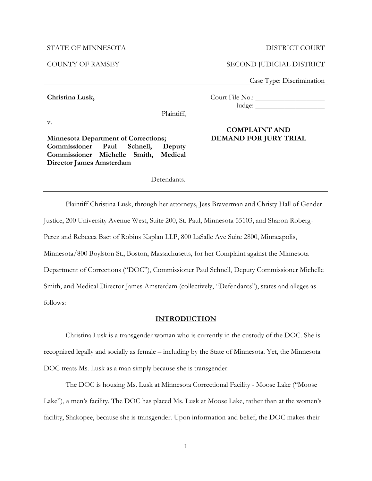#### STATE OF MINNESOTA

COUNTY OF RAMSEY

**Christina Lusk,**

#### DISTRICT COURT

## SECOND JUDICIAL DISTRICT

Case Type: Discrimination

Court File No.: \_\_\_\_\_\_\_\_\_\_\_\_\_\_\_\_\_\_\_  $\lceil \text{udge:} \rceil$ 

v.

**Minnesota Department of Corrections; Commissioner Paul Schnell, Deputy Commissioner Michelle Smith, Medical Director James Amsterdam** 

# **COMPLAINT AND DEMAND FOR JURY TRIAL**

Defendants.

Plaintiff,

Plaintiff Christina Lusk, through her attorneys, Jess Braverman and Christy Hall of Gender Justice, 200 University Avenue West, Suite 200, St. Paul, Minnesota 55103, and Sharon Roberg-Perez and Rebecca Bact of Robins Kaplan LLP, 800 LaSalle Ave Suite 2800, Minneapolis, Minnesota/800 Boylston St., Boston, Massachusetts, for her Complaint against the Minnesota Department of Corrections ("DOC"), Commissioner Paul Schnell, Deputy Commissioner Michelle Smith, and Medical Director James Amsterdam (collectively, "Defendants"), states and alleges as follows:

#### **INTRODUCTION**

Christina Lusk is a transgender woman who is currently in the custody of the DOC. She is recognized legally and socially as female – including by the State of Minnesota. Yet, the Minnesota DOC treats Ms. Lusk as a man simply because she is transgender.

The DOC is housing Ms. Lusk at Minnesota Correctional Facility - Moose Lake ("Moose Lake"), a men's facility. The DOC has placed Ms. Lusk at Moose Lake, rather than at the women's facility, Shakopee, because she is transgender. Upon information and belief, the DOC makes their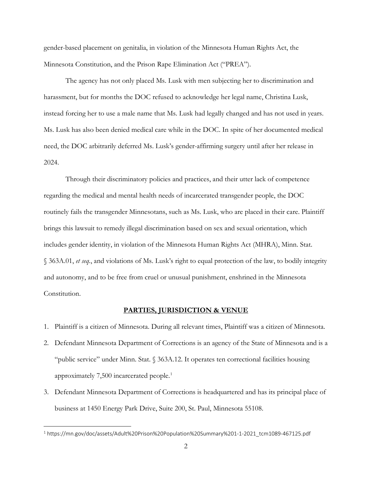gender-based placement on genitalia, in violation of the Minnesota Human Rights Act, the Minnesota Constitution, and the Prison Rape Elimination Act ("PREA").

The agency has not only placed Ms. Lusk with men subjecting her to discrimination and harassment, but for months the DOC refused to acknowledge her legal name, Christina Lusk, instead forcing her to use a male name that Ms. Lusk had legally changed and has not used in years. Ms. Lusk has also been denied medical care while in the DOC. In spite of her documented medical need, the DOC arbitrarily deferred Ms. Lusk's gender-affirming surgery until after her release in 2024.

Through their discriminatory policies and practices, and their utter lack of competence regarding the medical and mental health needs of incarcerated transgender people, the DOC routinely fails the transgender Minnesotans, such as Ms. Lusk, who are placed in their care. Plaintiff brings this lawsuit to remedy illegal discrimination based on sex and sexual orientation, which includes gender identity, in violation of the Minnesota Human Rights Act (MHRA), Minn. Stat. § 363A.01, *et seq.*, and violations of Ms. Lusk's right to equal protection of the law, to bodily integrity and autonomy, and to be free from cruel or unusual punishment, enshrined in the Minnesota Constitution.

#### **PARTIES, JURISDICTION & VENUE**

- 1. Plaintiff is a citizen of Minnesota. During all relevant times, Plaintiff was a citizen of Minnesota.
- 2. Defendant Minnesota Department of Corrections is an agency of the State of Minnesota and is a "public service" under Minn. Stat. § 363A.12. It operates ten correctional facilities housing approximately 7,500 incarcerated people.<sup>[1](#page-1-0)</sup>
- 3. Defendant Minnesota Department of Corrections is headquartered and has its principal place of business at 1450 Energy Park Drive, Suite 200, St. Paul, Minnesota 55108.

<span id="page-1-0"></span><sup>1</sup> https://mn.gov/doc/assets/Adult%20Prison%20Population%20Summary%201-1-2021\_tcm1089-467125.pdf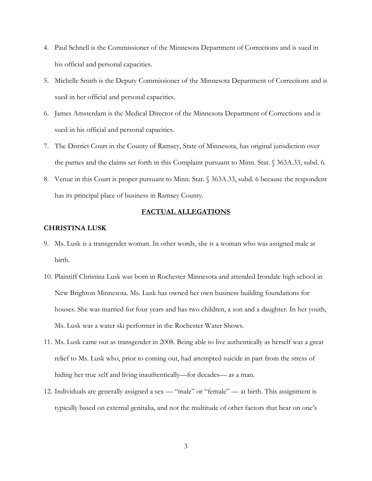- 4. Paul Schnell is the Commissioner of the Minnesota Department of Corrections and is sued in his official and personal capacities.
- 5. Michelle Smith is the Deputy Commissioner of the Minnesota Department of Corrections and is sued in her official and personal capacities.
- 6. James Amsterdam is the Medical Director of the Minnesota Department of Corrections and is sued in his official and personal capacities.
- 7. The District Court in the County of Ramsey, State of Minnesota, has original jurisdiction over the parties and the claims set forth in this Complaint pursuant to Minn. Stat. § 363A.33, subd. 6.
- 8. Venue in this Court is proper pursuant to Minn. Stat. § 363A.33, subd. 6 because the respondent has its principal place of business in Ramsey County.

## **FACTUAL ALLEGATIONS**

#### **CHRISTINA LUSK**

- 9. Ms. Lusk is a transgender woman. In other words, she is a woman who was assigned male at birth.
- 10. Plaintiff Christina Lusk was born in Rochester Minnesota and attended Irondale high school in New Brighton Minnesota. Ms. Lusk has owned her own business building foundations for houses. She was married for four years and has two children, a son and a daughter. In her youth, Ms. Lusk was a water ski performer in the Rochester Water Shows.
- 11. Ms. Lusk came out as transgender in 2008. Being able to live authentically as herself was a great relief to Ms. Lusk who, prior to coming out, had attempted suicide in part from the stress of hiding her true self and living inauthentically—for decades— as a man.
- 12. Individuals are generally assigned a sex "male" or "female" at birth. This assignment is typically based on external genitalia, and not the multitude of other factors that bear on one's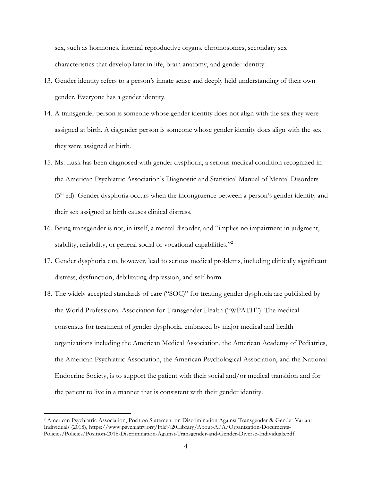sex, such as hormones, internal reproductive organs, chromosomes, secondary sex characteristics that develop later in life, brain anatomy, and gender identity.

- 13. Gender identity refers to a person's innate sense and deeply held understanding of their own gender. Everyone has a gender identity.
- 14. A transgender person is someone whose gender identity does not align with the sex they were assigned at birth. A cisgender person is someone whose gender identity does align with the sex they were assigned at birth.
- 15. Ms. Lusk has been diagnosed with gender dysphoria, a serious medical condition recognized in the American Psychiatric Association's Diagnostic and Statistical Manual of Mental Disorders  $(5<sup>th</sup>$  ed). Gender dysphoria occurs when the incongruence between a person's gender identity and their sex assigned at birth causes clinical distress.
- 16. Being transgender is not, in itself, a mental disorder, and "implies no impairment in judgment, stability, reliability, or general social or vocational capabilities."<sup>2</sup>
- 17. Gender dysphoria can, however, lead to serious medical problems, including clinically significant distress, dysfunction, debilitating depression, and self-harm.
- 18. The widely accepted standards of care ("SOC)" for treating gender dysphoria are published by the World Professional Association for Transgender Health ("WPATH"). The medical consensus for treatment of gender dysphoria, embraced by major medical and health organizations including the American Medical Association, the American Academy of Pediatrics, the American Psychiatric Association, the American Psychological Association, and the National Endocrine Society, is to support the patient with their social and/or medical transition and for the patient to live in a manner that is consistent with their gender identity.

<span id="page-3-0"></span><sup>2</sup> American Psychiatric Association, Position Statement on Discrimination Against Transgender & Gender Variant Individuals (2018), https://www.psychiatry.org/File%20Library/About-APA/Organization-Documents-Policies/Policies/Position-2018-Discrimination-Against-Transgender-and-Gender-Diverse-Individuals.pdf.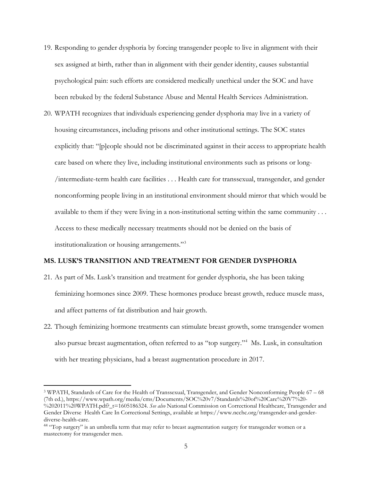- 19. Responding to gender dysphoria by forcing transgender people to live in alignment with their sex assigned at birth, rather than in alignment with their gender identity, causes substantial psychological pain: such efforts are considered medically unethical under the SOC and have been rebuked by the federal Substance Abuse and Mental Health Services Administration.
- 20. WPATH recognizes that individuals experiencing gender dysphoria may live in a variety of housing circumstances, including prisons and other institutional settings. The SOC states explicitly that: "[p]eople should not be discriminated against in their access to appropriate health care based on where they live, including institutional environments such as prisons or long- /intermediate-term health care facilities . . . Health care for transsexual, transgender, and gender nonconforming people living in an institutional environment should mirror that which would be available to them if they were living in a non-institutional setting within the same community . . . Access to these medically necessary treatments should not be denied on the basis of institutionalization or housing arrangements."[3](#page-4-0)

# **MS. LUSK'S TRANSITION AND TREATMENT FOR GENDER DYSPHORIA**

- 21. As part of Ms. Lusk's transition and treatment for gender dysphoria, she has been taking feminizing hormones since 2009. These hormones produce breast growth, reduce muscle mass, and affect patterns of fat distribution and hair growth.
- 22. Though feminizing hormone treatments can stimulate breast growth, some transgender women also pursue breast augmentation, often referred to as "top surgery."[4](#page-4-1) Ms. Lusk, in consultation with her treating physicians, had a breast augmentation procedure in 2017.

<span id="page-4-0"></span><sup>3</sup> WPATH, Standards of Care for the Health of Transsexual, Transgender, and Gender Nonconforming People 67 – 68 (7th ed.), https://www.wpath.org/media/cms/Documents/SOC%20v7/Standards%20of%20Care%20V7%20- %202011%20WPATH.pdf?\_t=1605186324. *See also* National Commission on Correctional Healthcare, Transgender and Gender Diverse Health Care In Correctional Settings, available at https://www.ncchc.org/transgender-and-genderdiverse-health-care.

<span id="page-4-1"></span><sup>&</sup>lt;sup>44</sup> "Top surgery" is an umbrella term that may refer to breast augmentation surgery for transgender women or a mastectomy for transgender men.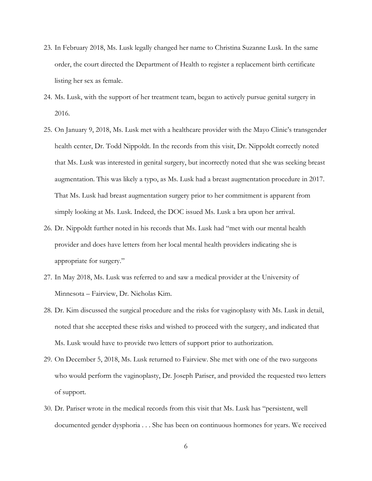- 23. In February 2018, Ms. Lusk legally changed her name to Christina Suzanne Lusk. In the same order, the court directed the Department of Health to register a replacement birth certificate listing her sex as female.
- 24. Ms. Lusk, with the support of her treatment team, began to actively pursue genital surgery in 2016.
- 25. On January 9, 2018, Ms. Lusk met with a healthcare provider with the Mayo Clinic's transgender health center, Dr. Todd Nippoldt. In the records from this visit, Dr. Nippoldt correctly noted that Ms. Lusk was interested in genital surgery, but incorrectly noted that she was seeking breast augmentation. This was likely a typo, as Ms. Lusk had a breast augmentation procedure in 2017. That Ms. Lusk had breast augmentation surgery prior to her commitment is apparent from simply looking at Ms. Lusk. Indeed, the DOC issued Ms. Lusk a bra upon her arrival.
- 26. Dr. Nippoldt further noted in his records that Ms. Lusk had "met with our mental health provider and does have letters from her local mental health providers indicating she is appropriate for surgery."
- 27. In May 2018, Ms. Lusk was referred to and saw a medical provider at the University of Minnesota – Fairview, Dr. Nicholas Kim.
- 28. Dr. Kim discussed the surgical procedure and the risks for vaginoplasty with Ms. Lusk in detail, noted that she accepted these risks and wished to proceed with the surgery, and indicated that Ms. Lusk would have to provide two letters of support prior to authorization.
- 29. On December 5, 2018, Ms. Lusk returned to Fairview. She met with one of the two surgeons who would perform the vaginoplasty, Dr. Joseph Pariser, and provided the requested two letters of support.
- 30. Dr. Pariser wrote in the medical records from this visit that Ms. Lusk has "persistent, well documented gender dysphoria . . . She has been on continuous hormones for years. We received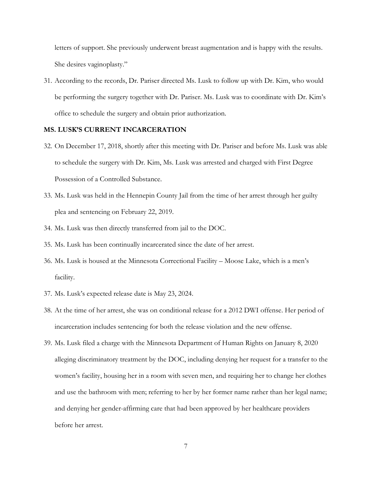letters of support. She previously underwent breast augmentation and is happy with the results. She desires vaginoplasty."

31. According to the records, Dr. Pariser directed Ms. Lusk to follow up with Dr. Kim, who would be performing the surgery together with Dr. Pariser. Ms. Lusk was to coordinate with Dr. Kim's office to schedule the surgery and obtain prior authorization.

## **MS. LUSK'S CURRENT INCARCERATION**

- 32. On December 17, 2018, shortly after this meeting with Dr. Pariser and before Ms. Lusk was able to schedule the surgery with Dr. Kim, Ms. Lusk was arrested and charged with First Degree Possession of a Controlled Substance.
- 33. Ms. Lusk was held in the Hennepin County Jail from the time of her arrest through her guilty plea and sentencing on February 22, 2019.
- 34. Ms. Lusk was then directly transferred from jail to the DOC.
- 35. Ms. Lusk has been continually incarcerated since the date of her arrest.
- 36. Ms. Lusk is housed at the Minnesota Correctional Facility Moose Lake, which is a men's facility.
- 37. Ms. Lusk's expected release date is May 23, 2024.
- 38. At the time of her arrest, she was on conditional release for a 2012 DWI offense. Her period of incarceration includes sentencing for both the release violation and the new offense.
- 39. Ms. Lusk filed a charge with the Minnesota Department of Human Rights on January 8, 2020 alleging discriminatory treatment by the DOC, including denying her request for a transfer to the women's facility, housing her in a room with seven men, and requiring her to change her clothes and use the bathroom with men; referring to her by her former name rather than her legal name; and denying her gender-affirming care that had been approved by her healthcare providers before her arrest.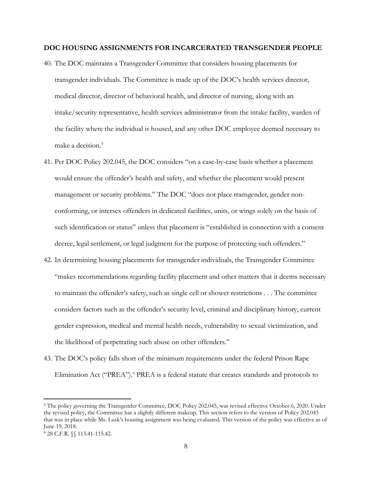## **DOC HOUSING ASSIGNMENTS FOR INCARCERATED TRANSGENDER PEOPLE**

- 40. The DOC maintains a Transgender Committee that considers housing placements for transgender individuals. The Committee is made up of the DOC's health services director, medical director, director of behavioral health, and director of nursing, along with an intake/security representative, health services administrator from the intake facility, warden of the facility where the individual is housed, and any other DOC employee deemed necessary to make a decision.<sup>[5](#page-7-0)</sup>
- 41. Per DOC Policy 202.045, the DOC considers "on a case-by-case basis whether a placement would ensure the offender's health and safety, and whether the placement would present management or security problems." The DOC "does not place transgender, gender nonconforming, or intersex offenders in dedicated facilities, units, or wings solely on the basis of such identification or status" unless that placement is "established in connection with a consent decree, legal settlement, or legal judgment for the purpose of protecting such offenders."
- 42. In determining housing placements for transgender individuals, the Transgender Committee "makes recommendations regarding facility placement and other matters that it deems necessary to maintain the offender's safety, such as single cell or shower restrictions . . . The committee considers factors such as the offender's security level, criminal and disciplinary history, current gender expression, medical and mental health needs, vulnerability to sexual victimization, and the likelihood of perpetrating such abuse on other offenders."
- 43. The DOC's policy falls short of the minimum requirements under the federal Prison Rape Elimination Act ("PREA").<sup>[6](#page-7-1)</sup> PREA is a federal statute that creates standards and protocols to

<span id="page-7-0"></span><sup>5</sup> The policy governing the Transgender Committee, DOC Policy 202.045, was revised effective October 6, 2020. Under the revised policy, the Committee has a slightly different makeup. This section refers to the version of Policy 202.045 that was in place while Ms. Lusk's housing assignment was being evaluated. This version of the policy was effective as of June 19, 2018.

<span id="page-7-1"></span><sup>6</sup> 28 C.F.R. §§ 115.41-115.42.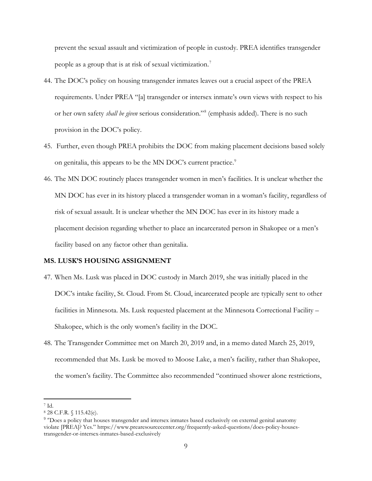prevent the sexual assault and victimization of people in custody. PREA identifies transgender people as a group that is at risk of sexual victimization.<sup>[7](#page-8-0)</sup>

- 44. The DOC's policy on housing transgender inmates leaves out a crucial aspect of the PREA requirements. Under PREA "[a] transgender or intersex inmate's own views with respect to his or her own safety *shall be given* serious consideration."[8](#page-8-1) (emphasis added). There is no such provision in the DOC's policy.
- 45. Further, even though PREA prohibits the DOC from making placement decisions based solely on genitalia, this appears to be the MN DOC's current practice.<sup>[9](#page-8-2)</sup>
- 46. The MN DOC routinely places transgender women in men's facilities. It is unclear whether the MN DOC has ever in its history placed a transgender woman in a woman's facility, regardless of risk of sexual assault. It is unclear whether the MN DOC has ever in its history made a placement decision regarding whether to place an incarcerated person in Shakopee or a men's facility based on any factor other than genitalia.

## **MS. LUSK'S HOUSING ASSIGNMENT**

- 47. When Ms. Lusk was placed in DOC custody in March 2019, she was initially placed in the DOC's intake facility, St. Cloud. From St. Cloud, incarcerated people are typically sent to other facilities in Minnesota. Ms. Lusk requested placement at the Minnesota Correctional Facility – Shakopee, which is the only women's facility in the DOC.
- 48. The Transgender Committee met on March 20, 2019 and, in a memo dated March 25, 2019, recommended that Ms. Lusk be moved to Moose Lake, a men's facility, rather than Shakopee, the women's facility. The Committee also recommended "continued shower alone restrictions,

<span id="page-8-0"></span><sup>7</sup> Id.

<span id="page-8-1"></span><sup>8</sup> 28 C.F.R. § 115.42(e).

<span id="page-8-2"></span><sup>&</sup>lt;sup>9</sup> "Does a policy that houses transgender and intersex inmates based exclusively on external genital anatomy violate [PREA]? Yes." https://www.prearesourcecenter.org/frequently-asked-questions/does-policy-housestransgender-or-intersex-inmates-based-exclusively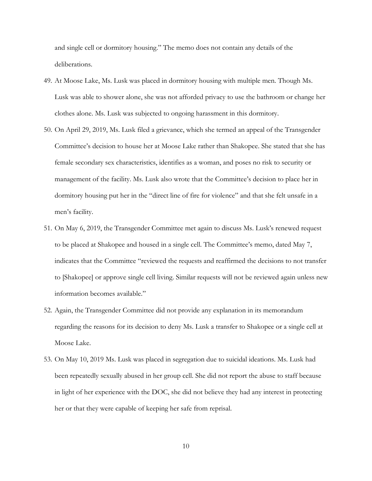and single cell or dormitory housing." The memo does not contain any details of the deliberations.

- 49. At Moose Lake, Ms. Lusk was placed in dormitory housing with multiple men. Though Ms. Lusk was able to shower alone, she was not afforded privacy to use the bathroom or change her clothes alone. Ms. Lusk was subjected to ongoing harassment in this dormitory.
- 50. On April 29, 2019, Ms. Lusk filed a grievance, which she termed an appeal of the Transgender Committee's decision to house her at Moose Lake rather than Shakopee. She stated that she has female secondary sex characteristics, identifies as a woman, and poses no risk to security or management of the facility. Ms. Lusk also wrote that the Committee's decision to place her in dormitory housing put her in the "direct line of fire for violence" and that she felt unsafe in a men's facility.
- 51. On May 6, 2019, the Transgender Committee met again to discuss Ms. Lusk's renewed request to be placed at Shakopee and housed in a single cell. The Committee's memo, dated May 7, indicates that the Committee "reviewed the requests and reaffirmed the decisions to not transfer to [Shakopee] or approve single cell living. Similar requests will not be reviewed again unless new information becomes available."
- 52. Again, the Transgender Committee did not provide any explanation in its memorandum regarding the reasons for its decision to deny Ms. Lusk a transfer to Shakopee or a single cell at Moose Lake.
- 53. On May 10, 2019 Ms. Lusk was placed in segregation due to suicidal ideations. Ms. Lusk had been repeatedly sexually abused in her group cell. She did not report the abuse to staff because in light of her experience with the DOC, she did not believe they had any interest in protecting her or that they were capable of keeping her safe from reprisal.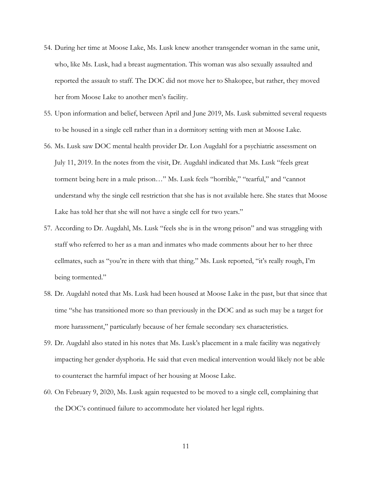- 54. During her time at Moose Lake, Ms. Lusk knew another transgender woman in the same unit, who, like Ms. Lusk, had a breast augmentation. This woman was also sexually assaulted and reported the assault to staff. The DOC did not move her to Shakopee, but rather, they moved her from Moose Lake to another men's facility.
- 55. Upon information and belief, between April and June 2019, Ms. Lusk submitted several requests to be housed in a single cell rather than in a dormitory setting with men at Moose Lake.
- 56. Ms. Lusk saw DOC mental health provider Dr. Lon Augdahl for a psychiatric assessment on July 11, 2019. In the notes from the visit, Dr. Augdahl indicated that Ms. Lusk "feels great torment being here in a male prison…" Ms. Lusk feels "horrible," "tearful," and "cannot understand why the single cell restriction that she has is not available here. She states that Moose Lake has told her that she will not have a single cell for two years."
- 57. According to Dr. Augdahl, Ms. Lusk "feels she is in the wrong prison" and was struggling with staff who referred to her as a man and inmates who made comments about her to her three cellmates, such as "you're in there with that thing." Ms. Lusk reported, "it's really rough, I'm being tormented."
- 58. Dr. Augdahl noted that Ms. Lusk had been housed at Moose Lake in the past, but that since that time "she has transitioned more so than previously in the DOC and as such may be a target for more harassment," particularly because of her female secondary sex characteristics.
- 59. Dr. Augdahl also stated in his notes that Ms. Lusk's placement in a male facility was negatively impacting her gender dysphoria. He said that even medical intervention would likely not be able to counteract the harmful impact of her housing at Moose Lake.
- 60. On February 9, 2020, Ms. Lusk again requested to be moved to a single cell, complaining that the DOC's continued failure to accommodate her violated her legal rights.

11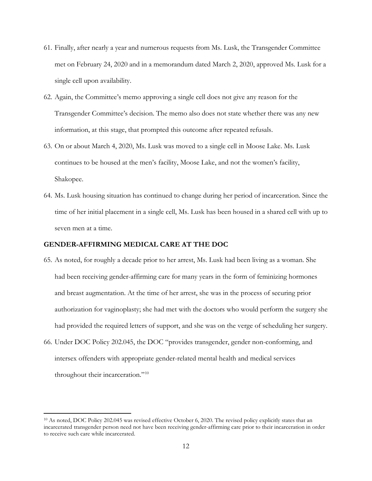- 61. Finally, after nearly a year and numerous requests from Ms. Lusk, the Transgender Committee met on February 24, 2020 and in a memorandum dated March 2, 2020, approved Ms. Lusk for a single cell upon availability.
- 62. Again, the Committee's memo approving a single cell does not give any reason for the Transgender Committee's decision. The memo also does not state whether there was any new information, at this stage, that prompted this outcome after repeated refusals.
- 63. On or about March 4, 2020, Ms. Lusk was moved to a single cell in Moose Lake. Ms. Lusk continues to be housed at the men's facility, Moose Lake, and not the women's facility, Shakopee.
- 64. Ms. Lusk housing situation has continued to change during her period of incarceration. Since the time of her initial placement in a single cell, Ms. Lusk has been housed in a shared cell with up to seven men at a time.

## **GENDER-AFFIRMING MEDICAL CARE AT THE DOC**

- 65. As noted, for roughly a decade prior to her arrest, Ms. Lusk had been living as a woman. She had been receiving gender-affirming care for many years in the form of feminizing hormones and breast augmentation. At the time of her arrest, she was in the process of securing prior authorization for vaginoplasty; she had met with the doctors who would perform the surgery she had provided the required letters of support, and she was on the verge of scheduling her surgery.
- 66. Under DOC Policy 202.045, the DOC "provides transgender, gender non-conforming, and intersex offenders with appropriate gender-related mental health and medical services throughout their incarceration."[10](#page-11-0)

<span id="page-11-0"></span><sup>10</sup> As noted, DOC Policy 202.045 was revised effective October 6, 2020. The revised policy explicitly states that an incarcerated transgender person need not have been receiving gender-affirming care prior to their incarceration in order to receive such care while incarcerated.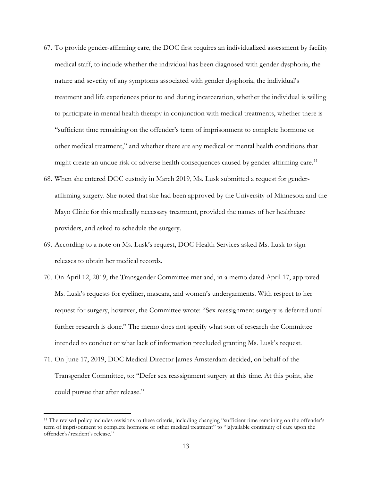- 67. To provide gender-affirming care, the DOC first requires an individualized assessment by facility medical staff, to include whether the individual has been diagnosed with gender dysphoria, the nature and severity of any symptoms associated with gender dysphoria, the individual's treatment and life experiences prior to and during incarceration, whether the individual is willing to participate in mental health therapy in conjunction with medical treatments, whether there is "sufficient time remaining on the offender's term of imprisonment to complete hormone or other medical treatment," and whether there are any medical or mental health conditions that might create an undue risk of adverse health consequences caused by gender-affirming care.<sup>[11](#page-12-0)</sup>
- 68. When she entered DOC custody in March 2019, Ms. Lusk submitted a request for genderaffirming surgery. She noted that she had been approved by the University of Minnesota and the Mayo Clinic for this medically necessary treatment, provided the names of her healthcare providers, and asked to schedule the surgery.
- 69. According to a note on Ms. Lusk's request, DOC Health Services asked Ms. Lusk to sign releases to obtain her medical records.
- 70. On April 12, 2019, the Transgender Committee met and, in a memo dated April 17, approved Ms. Lusk's requests for eyeliner, mascara, and women's undergarments. With respect to her request for surgery, however, the Committee wrote: "Sex reassignment surgery is deferred until further research is done." The memo does not specify what sort of research the Committee intended to conduct or what lack of information precluded granting Ms. Lusk's request.
- 71. On June 17, 2019, DOC Medical Director James Amsterdam decided, on behalf of the Transgender Committee, to: "Defer sex reassignment surgery at this time. At this point, she could pursue that after release."

<span id="page-12-0"></span><sup>&</sup>lt;sup>11</sup> The revised policy includes revisions to these criteria, including changing "sufficient time remaining on the offender's term of imprisonment to complete hormone or other medical treatment" to "[a]vailable continuity of care upon the offender's/resident's release."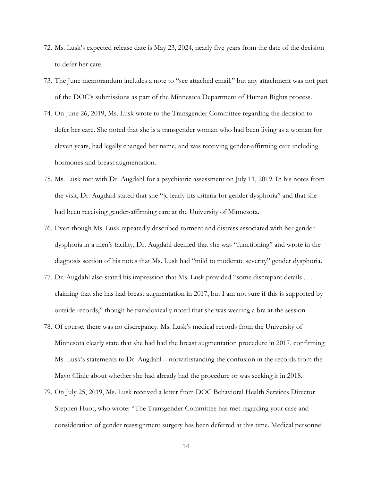- 72. Ms. Lusk's expected release date is May 23, 2024, nearly five years from the date of the decision to defer her care.
- 73. The June memorandum includes a note to "see attached email," but any attachment was not part of the DOC's submissions as part of the Minnesota Department of Human Rights process.
- 74. On June 26, 2019, Ms. Lusk wrote to the Transgender Committee regarding the decision to defer her care. She noted that she is a transgender woman who had been living as a woman for eleven years, had legally changed her name, and was receiving gender-affirming care including hormones and breast augmentation.
- 75. Ms. Lusk met with Dr. Augdahl for a psychiatric assessment on July 11, 2019. In his notes from the visit, Dr. Augdahl stated that she "[c]learly fits criteria for gender dysphoria" and that she had been receiving gender-affirming care at the University of Minnesota.
- 76. Even though Ms. Lusk repeatedly described torment and distress associated with her gender dysphoria in a men's facility, Dr. Augdahl deemed that she was "functioning" and wrote in the diagnosis section of his notes that Ms. Lusk had "mild to moderate severity" gender dysphoria.
- 77. Dr. Augdahl also stated his impression that Ms. Lusk provided "some discrepant details . . . claiming that she has had breast augmentation in 2017, but I am not sure if this is supported by outside records," though he paradoxically noted that she was wearing a bra at the session.
- 78. Of course, there was no discrepancy. Ms. Lusk's medical records from the University of Minnesota clearly state that she had had the breast augmentation procedure in 2017, confirming Ms. Lusk's statements to Dr. Augdahl – notwithstanding the confusion in the records from the Mayo Clinic about whether she had already had the procedure or was seeking it in 2018.
- 79. On July 25, 2019, Ms. Lusk received a letter from DOC Behavioral Health Services Director Stephen Huot, who wrote: "The Transgender Committee has met regarding your case and consideration of gender reassignment surgery has been deferred at this time. Medical personnel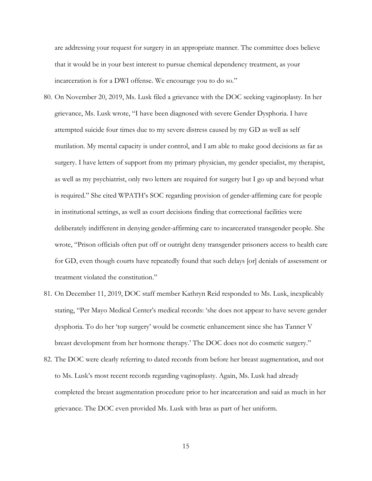are addressing your request for surgery in an appropriate manner. The committee does believe that it would be in your best interest to pursue chemical dependency treatment, as your incarceration is for a DWI offense. We encourage you to do so."

- 80. On November 20, 2019, Ms. Lusk filed a grievance with the DOC seeking vaginoplasty. In her grievance, Ms. Lusk wrote, "I have been diagnosed with severe Gender Dysphoria. I have attempted suicide four times due to my severe distress caused by my GD as well as self mutilation. My mental capacity is under control, and I am able to make good decisions as far as surgery. I have letters of support from my primary physician, my gender specialist, my therapist, as well as my psychiatrist, only two letters are required for surgery but I go up and beyond what is required." She cited WPATH's SOC regarding provision of gender-affirming care for people in institutional settings, as well as court decisions finding that correctional facilities were deliberately indifferent in denying gender-affirming care to incarcerated transgender people. She wrote, "Prison officials often put off or outright deny transgender prisoners access to health care for GD, even though courts have repeatedly found that such delays [or] denials of assessment or treatment violated the constitution."
- 81. On December 11, 2019, DOC staff member Kathryn Reid responded to Ms. Lusk, inexplicably stating, "Per Mayo Medical Center's medical records: 'she does not appear to have severe gender dysphoria. To do her 'top surgery' would be cosmetic enhancement since she has Tanner V breast development from her hormone therapy.' The DOC does not do cosmetic surgery."
- 82. The DOC were clearly referring to dated records from before her breast augmentation, and not to Ms. Lusk's most recent records regarding vaginoplasty. Again, Ms. Lusk had already completed the breast augmentation procedure prior to her incarceration and said as much in her grievance. The DOC even provided Ms. Lusk with bras as part of her uniform.

15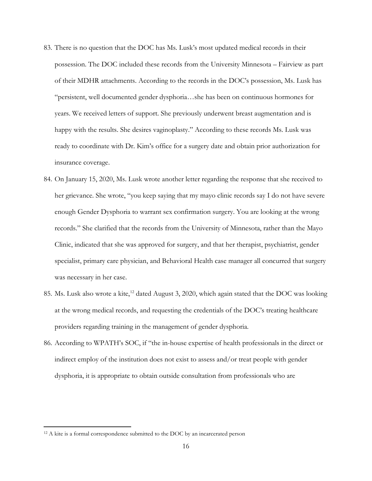- 83. There is no question that the DOC has Ms. Lusk's most updated medical records in their possession. The DOC included these records from the University Minnesota – Fairview as part of their MDHR attachments. According to the records in the DOC's possession, Ms. Lusk has "persistent, well documented gender dysphoria…she has been on continuous hormones for years. We received letters of support. She previously underwent breast augmentation and is happy with the results. She desires vaginoplasty." According to these records Ms. Lusk was ready to coordinate with Dr. Kim's office for a surgery date and obtain prior authorization for insurance coverage.
- 84. On January 15, 2020, Ms. Lusk wrote another letter regarding the response that she received to her grievance. She wrote, "you keep saying that my mayo clinic records say I do not have severe enough Gender Dysphoria to warrant sex confirmation surgery. You are looking at the wrong records." She clarified that the records from the University of Minnesota, rather than the Mayo Clinic, indicated that she was approved for surgery, and that her therapist, psychiatrist, gender specialist, primary care physician, and Behavioral Health case manager all concurred that surgery was necessary in her case.
- 85. Ms. Lusk also wrote a kite,<sup>[12](#page-15-0)</sup> dated August 3, 2020, which again stated that the DOC was looking at the wrong medical records, and requesting the credentials of the DOC's treating healthcare providers regarding training in the management of gender dysphoria.
- 86. According to WPATH's SOC, if "the in-house expertise of health professionals in the direct or indirect employ of the institution does not exist to assess and/or treat people with gender dysphoria, it is appropriate to obtain outside consultation from professionals who are

<span id="page-15-0"></span><sup>&</sup>lt;sup>12</sup> A kite is a formal correspondence submitted to the DOC by an incarcerated person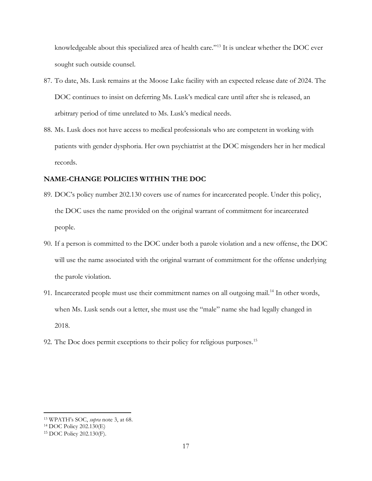knowledgeable about this specialized area of health care."[13](#page-16-0) It is unclear whether the DOC ever sought such outside counsel.

- 87. To date, Ms. Lusk remains at the Moose Lake facility with an expected release date of 2024. The DOC continues to insist on deferring Ms. Lusk's medical care until after she is released, an arbitrary period of time unrelated to Ms. Lusk's medical needs.
- 88. Ms. Lusk does not have access to medical professionals who are competent in working with patients with gender dysphoria. Her own psychiatrist at the DOC misgenders her in her medical records.

# **NAME-CHANGE POLICIES WITHIN THE DOC**

- 89. DOC's policy number 202.130 covers use of names for incarcerated people. Under this policy, the DOC uses the name provided on the original warrant of commitment for incarcerated people.
- 90. If a person is committed to the DOC under both a parole violation and a new offense, the DOC will use the name associated with the original warrant of commitment for the offense underlying the parole violation.
- 91. Incarcerated people must use their commitment names on all outgoing mail.<sup>[14](#page-16-1)</sup> In other words, when Ms. Lusk sends out a letter, she must use the "male" name she had legally changed in 2018.
- 92. The Doc does permit exceptions to their policy for religious purposes. [15](#page-16-2)

<span id="page-16-0"></span><sup>13</sup> WPATH's SOC, *supra* note 3, at 68.

<span id="page-16-1"></span><sup>14</sup> DOC Policy 202.130(E)

<span id="page-16-2"></span><sup>15</sup> DOC Policy 202.130(F).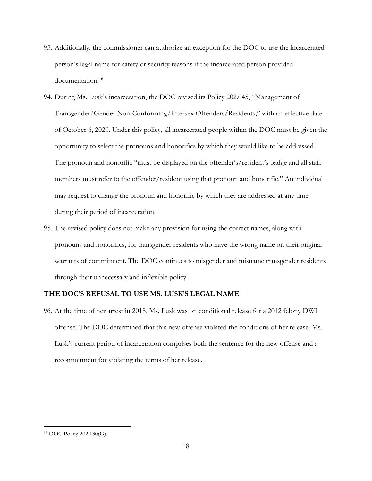- 93. Additionally, the commissioner can authorize an exception for the DOC to use the incarcerated person's legal name for safety or security reasons if the incarcerated person provided documentation. [16](#page-17-0)
- 94. During Ms. Lusk's incarceration, the DOC revised its Policy 202.045, "Management of Transgender/Gender Non-Conforming/Intersex Offenders/Residents," with an effective date of October 6, 2020. Under this policy, all incarcerated people within the DOC must be given the opportunity to select the pronouns and honorifics by which they would like to be addressed. The pronoun and honorific "must be displayed on the offender's/resident's badge and all staff members must refer to the offender/resident using that pronoun and honorific." An individual may request to change the pronoun and honorific by which they are addressed at any time during their period of incarceration.
- 95. The revised policy does not make any provision for using the correct names, along with pronouns and honorifics, for transgender residents who have the wrong name on their original warrants of commitment. The DOC continues to misgender and misname transgender residents through their unnecessary and inflexible policy.

## **THE DOC'S REFUSAL TO USE MS. LUSK'S LEGAL NAME**

96. At the time of her arrest in 2018, Ms. Lusk was on conditional release for a 2012 felony DWI offense. The DOC determined that this new offense violated the conditions of her release. Ms. Lusk's current period of incarceration comprises both the sentence for the new offense and a recommitment for violating the terms of her release.

<span id="page-17-0"></span><sup>16</sup> DOC Policy 202.130(G).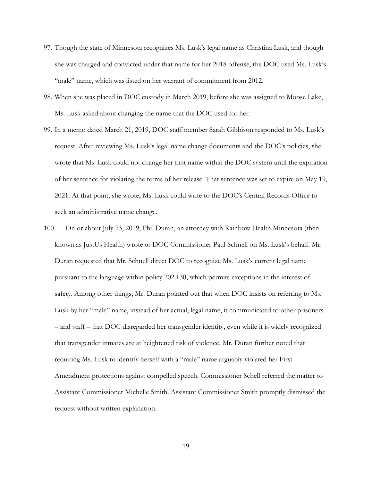- 97. Though the state of Minnesota recognizes Ms. Lusk's legal name as Christina Lusk, and though she was charged and convicted under that name for her 2018 offense, the DOC used Ms. Lusk's "male" name, which was listed on her warrant of commitment from 2012.
- 98. When she was placed in DOC custody in March 2019, before she was assigned to Moose Lake, Ms. Lusk asked about changing the name that the DOC used for her.
- 99. In a memo dated March 21, 2019, DOC staff member Sarah Gibbison responded to Ms. Lusk's request. After reviewing Ms. Lusk's legal name change documents and the DOC's policies, she wrote that Ms. Lusk could not change her first name within the DOC system until the expiration of her sentence for violating the terms of her release. That sentence was set to expire on May 19, 2021. At that point, she wrote, Ms. Lusk could write to the DOC's Central Records Office to seek an administrative name change.
- 100. On or about July 23, 2019, Phil Duran, an attorney with Rainbow Health Minnesota (then known as JustUs Health) wrote to DOC Commissioner Paul Schnell on Ms. Lusk's behalf. Mr. Duran requested that Mr. Schnell direct DOC to recognize Ms. Lusk's current legal name pursuant to the language within policy 202.130, which permits exceptions in the interest of safety. Among other things, Mr. Duran pointed out that when DOC insists on referring to Ms. Lusk by her "male" name, instead of her actual, legal name, it communicated to other prisoners – and staff – that DOC disregarded her transgender identity, even while it is widely recognized that transgender inmates are at heightened risk of violence. Mr. Duran further noted that requiring Ms. Lusk to identify herself with a "male" name arguably violated her First Amendment protections against compelled speech. Commissioner Schell referred the matter to Assistant Commissioner Michelle Smith. Assistant Commissioner Smith promptly dismissed the request without written explanation.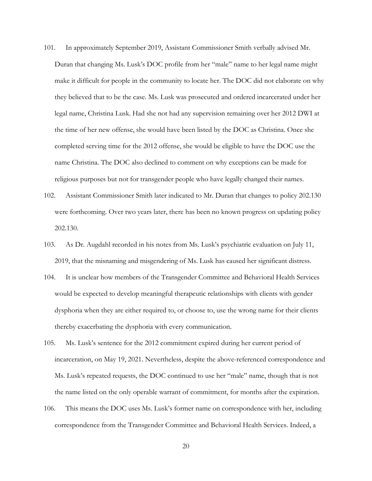- 101. In approximately September 2019, Assistant Commissioner Smith verbally advised Mr. Duran that changing Ms. Lusk's DOC profile from her "male" name to her legal name might make it difficult for people in the community to locate her. The DOC did not elaborate on why they believed that to be the case. Ms. Lusk was prosecuted and ordered incarcerated under her legal name, Christina Lusk. Had she not had any supervision remaining over her 2012 DWI at the time of her new offense, she would have been listed by the DOC as Christina. Once she completed serving time for the 2012 offense, she would be eligible to have the DOC use the name Christina. The DOC also declined to comment on why exceptions can be made for religious purposes but not for transgender people who have legally changed their names.
- 102. Assistant Commissioner Smith later indicated to Mr. Duran that changes to policy 202.130 were forthcoming. Over two years later, there has been no known progress on updating policy 202.130.
- 103. As Dr. Augdahl recorded in his notes from Ms. Lusk's psychiatric evaluation on July 11, 2019, that the misnaming and misgendering of Ms. Lusk has caused her significant distress.
- 104. It is unclear how members of the Transgender Committee and Behavioral Health Services would be expected to develop meaningful therapeutic relationships with clients with gender dysphoria when they are either required to, or choose to, use the wrong name for their clients thereby exacerbating the dysphoria with every communication.
- 105. Ms. Lusk's sentence for the 2012 commitment expired during her current period of incarceration, on May 19, 2021. Nevertheless, despite the above-referenced correspondence and Ms. Lusk's repeated requests, the DOC continued to use her "male" name, though that is not the name listed on the only operable warrant of commitment, for months after the expiration.
- 106. This means the DOC uses Ms. Lusk's former name on correspondence with her, including correspondence from the Transgender Committee and Behavioral Health Services. Indeed, a

20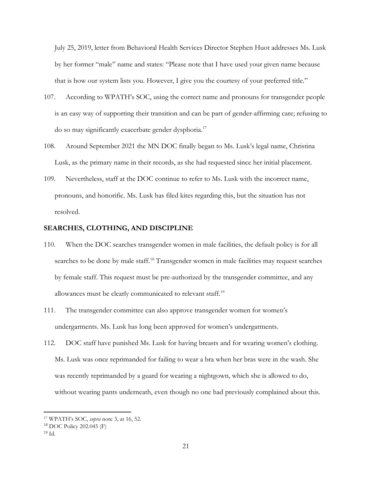July 25, 2019, letter from Behavioral Health Services Director Stephen Huot addresses Ms. Lusk by her former "male" name and states: "Please note that I have used your given name because that is how our system lists you. However, I give you the courtesy of your preferred title."

- 107. According to WPATH's SOC, using the correct name and pronouns for transgender people is an easy way of supporting their transition and can be part of gender-affirming care; refusing to do so may significantly exacerbate gender dysphoria.<sup>[17](#page-20-0)</sup>
- 108. Around September 2021 the MN DOC finally began to Ms. Lusk's legal name, Christina Lusk, as the primary name in their records, as she had requested since her initial placement.
- 109. Nevertheless, staff at the DOC continue to refer to Ms. Lusk with the incorrect name, pronouns, and honorific. Ms. Lusk has filed kites regarding this, but the situation has not resolved.

#### **SEARCHES, CLOTHING, AND DISCIPLINE**

- 110. When the DOC searches transgender women in male facilities, the default policy is for all searches to be done by male staff.<sup>[18](#page-20-1)</sup> Transgender women in male facilities may request searches by female staff. This request must be pre-authorized by the transgender committee, and any allowances must be clearly communicated to relevant staff.<sup>[19](#page-20-2)</sup>
- 111. The transgender committee can also approve transgender women for women's undergarments. Ms. Lusk has long been approved for women's undergarments.
- 112. DOC staff have punished Ms. Lusk for having breasts and for wearing women's clothing. Ms. Lusk was once reprimanded for failing to wear a bra when her bras were in the wash. She was recently reprimanded by a guard for wearing a nightgown, which she is allowed to do, without wearing pants underneath, even though no one had previously complained about this.

<span id="page-20-0"></span><sup>17</sup> WPATH's SOC, *supra* note 3, at 16, 52.

<span id="page-20-1"></span><sup>18</sup> DOC Policy 202.045 (F)

<span id="page-20-2"></span> $19 H$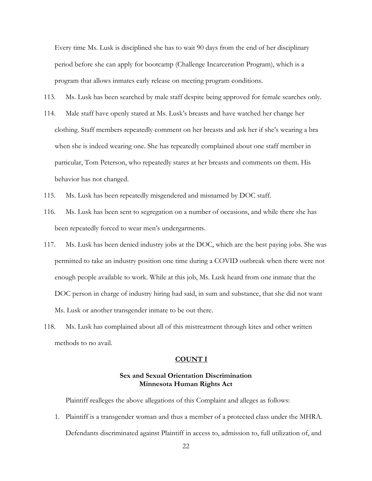Every time Ms. Lusk is disciplined she has to wait 90 days from the end of her disciplinary period before she can apply for bootcamp (Challenge Incarceration Program), which is a program that allows inmates early release on meeting program conditions.

113. Ms. Lusk has been searched by male staff despite being approved for female searches only.

- 114. Male staff have openly stared at Ms. Lusk's breasts and have watched her change her clothing. Staff members repeatedly comment on her breasts and ask her if she's wearing a bra when she is indeed wearing one. She has repeatedly complained about one staff member in particular, Tom Peterson, who repeatedly stares at her breasts and comments on them. His behavior has not changed.
- 115. Ms. Lusk has been repeatedly misgendered and misnamed by DOC staff.
- 116. Ms. Lusk has been sent to segregation on a number of occasions, and while there she has been repeatedly forced to wear men's undergarments.
- 117. Ms. Lusk has been denied industry jobs at the DOC, which are the best paying jobs. She was permitted to take an industry position one time during a COVID outbreak when there were not enough people available to work. While at this job, Ms. Lusk heard from one inmate that the DOC person in charge of industry hiring had said, in sum and substance, that she did not want Ms. Lusk or another transgender inmate to be out there.
- 118. Ms. Lusk has complained about all of this mistreatment through kites and other written methods to no avail.

#### **COUNT I**

## **Sex and Sexual Orientation Discrimination Minnesota Human Rights Act**

Plaintiff realleges the above allegations of this Complaint and alleges as follows:

1. Plaintiff is a transgender woman and thus a member of a protected class under the MHRA. Defendants discriminated against Plaintiff in access to, admission to, full utilization of, and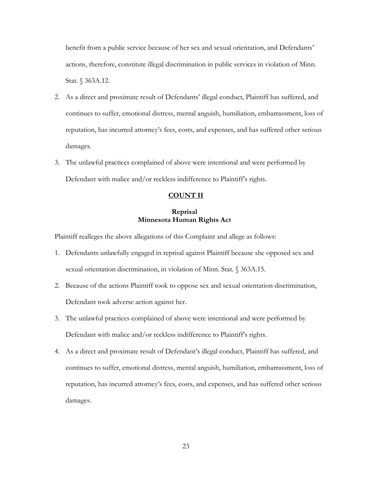benefit from a public service because of her sex and sexual orientation, and Defendants' actions, therefore, constitute illegal discrimination in public services in violation of Minn. Stat. § 363A.12.

- 2. As a direct and proximate result of Defendants' illegal conduct, Plaintiff has suffered, and continues to suffer, emotional distress, mental anguish, humiliation, embarrassment, loss of reputation, has incurred attorney's fees, costs, and expenses, and has suffered other serious damages.
- 3. The unlawful practices complained of above were intentional and were performed by Defendant with malice and/or reckless indifference to Plaintiff's rights.

## **COUNT II**

## **Reprisal Minnesota Human Rights Act**

Plaintiff realleges the above allegations of this Complaint and allege as follows:

- 1. Defendants unlawfully engaged in reprisal against Plaintiff because she opposed sex and sexual orientation discrimination, in violation of Minn. Stat. § 363A.15.
- 2. Because of the actions Plaintiff took to oppose sex and sexual orientation discrimination, Defendant took adverse action against her.
- 3. The unlawful practices complained of above were intentional and were performed by Defendant with malice and/or reckless indifference to Plaintiff's rights.
- 4. As a direct and proximate result of Defendant's illegal conduct, Plaintiff has suffered, and continues to suffer, emotional distress, mental anguish, humiliation, embarrassment, loss of reputation, has incurred attorney's fees, costs, and expenses, and has suffered other serious damages.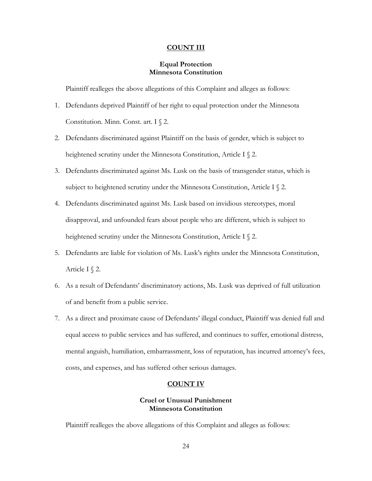#### **COUNT III**

## **Equal Protection Minnesota Constitution**

Plaintiff realleges the above allegations of this Complaint and alleges as follows:

- 1. Defendants deprived Plaintiff of her right to equal protection under the Minnesota Constitution. Minn. Const. art. I § 2.
- 2. Defendants discriminated against Plaintiff on the basis of gender, which is subject to heightened scrutiny under the Minnesota Constitution, Article I § 2.
- 3. Defendants discriminated against Ms. Lusk on the basis of transgender status, which is subject to heightened scrutiny under the Minnesota Constitution, Article I  $\S$  2.
- 4. Defendants discriminated against Ms. Lusk based on invidious stereotypes, moral disapproval, and unfounded fears about people who are different, which is subject to heightened scrutiny under the Minnesota Constitution, Article I § 2.
- 5. Defendants are liable for violation of Ms. Lusk's rights under the Minnesota Constitution, Article I § 2.
- 6. As a result of Defendants' discriminatory actions, Ms. Lusk was deprived of full utilization of and benefit from a public service.
- 7. As a direct and proximate cause of Defendants' illegal conduct, Plaintiff was denied full and equal access to public services and has suffered, and continues to suffer, emotional distress, mental anguish, humiliation, embarrassment, loss of reputation, has incurred attorney's fees, costs, and expenses, and has suffered other serious damages.

#### **COUNT IV**

## **Cruel or Unusual Punishment Minnesota Constitution**

Plaintiff realleges the above allegations of this Complaint and alleges as follows: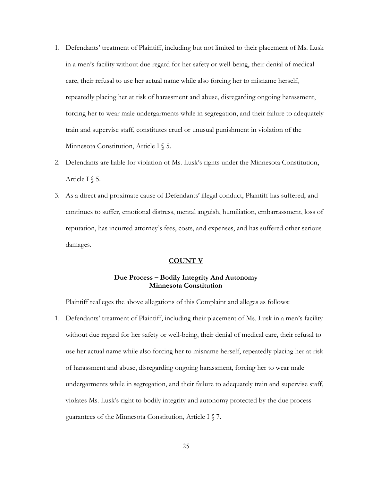- 1. Defendants' treatment of Plaintiff, including but not limited to their placement of Ms. Lusk in a men's facility without due regard for her safety or well-being, their denial of medical care, their refusal to use her actual name while also forcing her to misname herself, repeatedly placing her at risk of harassment and abuse, disregarding ongoing harassment, forcing her to wear male undergarments while in segregation, and their failure to adequately train and supervise staff, constitutes cruel or unusual punishment in violation of the Minnesota Constitution, Article I § 5.
- 2. Defendants are liable for violation of Ms. Lusk's rights under the Minnesota Constitution, Article I  $\$  5.
- 3. As a direct and proximate cause of Defendants' illegal conduct, Plaintiff has suffered, and continues to suffer, emotional distress, mental anguish, humiliation, embarrassment, loss of reputation, has incurred attorney's fees, costs, and expenses, and has suffered other serious damages.

## **COUNT V**

## **Due Process – Bodily Integrity And Autonomy Minnesota Constitution**

Plaintiff realleges the above allegations of this Complaint and alleges as follows:

1. Defendants' treatment of Plaintiff, including their placement of Ms. Lusk in a men's facility without due regard for her safety or well-being, their denial of medical care, their refusal to use her actual name while also forcing her to misname herself, repeatedly placing her at risk of harassment and abuse, disregarding ongoing harassment, forcing her to wear male undergarments while in segregation, and their failure to adequately train and supervise staff, violates Ms. Lusk's right to bodily integrity and autonomy protected by the due process guarantees of the Minnesota Constitution, Article I § 7.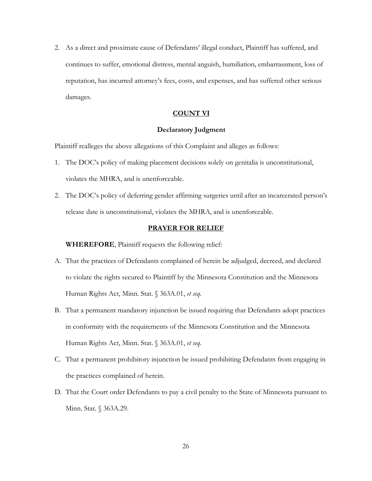2. As a direct and proximate cause of Defendants' illegal conduct, Plaintiff has suffered, and continues to suffer, emotional distress, mental anguish, humiliation, embarrassment, loss of reputation, has incurred attorney's fees, costs, and expenses, and has suffered other serious damages.

## **COUNT VI**

#### **Declaratory Judgment**

Plaintiff realleges the above allegations of this Complaint and alleges as follows:

- 1. The DOC's policy of making placement decisions solely on genitalia is unconstitutional, violates the MHRA, and is unenforceable.
- 2. The DOC's policy of deferring gender affirming surgeries until after an incarcerated person's release date is unconstitutional, violates the MHRA, and is unenforceable.

#### **PRAYER FOR RELIEF**

**WHEREFORE**, Plaintiff requests the following relief:

- A. That the practices of Defendants complained of herein be adjudged, decreed, and declared to violate the rights secured to Plaintiff by the Minnesota Constitution and the Minnesota Human Rights Act, Minn. Stat. § 363A.01, *et seq.*
- B. That a permanent mandatory injunction be issued requiring that Defendants adopt practices in conformity with the requirements of the Minnesota Constitution and the Minnesota Human Rights Act, Minn. Stat. § 363A.01, *et seq.*
- C. That a permanent prohibitory injunction be issued prohibiting Defendants from engaging in the practices complained of herein.
- D. That the Court order Defendants to pay a civil penalty to the State of Minnesota pursuant to Minn. Stat. § 363A.29.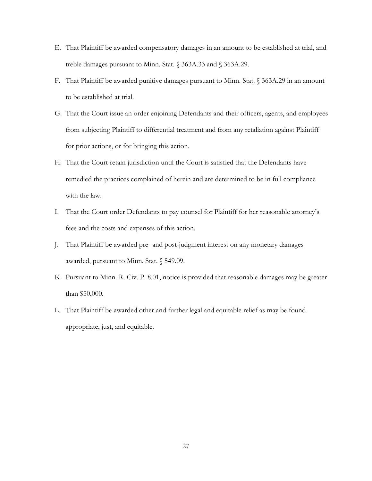- E. That Plaintiff be awarded compensatory damages in an amount to be established at trial, and treble damages pursuant to Minn. Stat. § 363A.33 and § 363A.29.
- F. That Plaintiff be awarded punitive damages pursuant to Minn. Stat. § 363A.29 in an amount to be established at trial.
- G. That the Court issue an order enjoining Defendants and their officers, agents, and employees from subjecting Plaintiff to differential treatment and from any retaliation against Plaintiff for prior actions, or for bringing this action.
- H. That the Court retain jurisdiction until the Court is satisfied that the Defendants have remedied the practices complained of herein and are determined to be in full compliance with the law.
- I. That the Court order Defendants to pay counsel for Plaintiff for her reasonable attorney's fees and the costs and expenses of this action.
- J. That Plaintiff be awarded pre- and post-judgment interest on any monetary damages awarded, pursuant to Minn. Stat. § 549.09.
- K. Pursuant to Minn. R. Civ. P. 8.01, notice is provided that reasonable damages may be greater than \$50,000.
- L. That Plaintiff be awarded other and further legal and equitable relief as may be found appropriate, just, and equitable.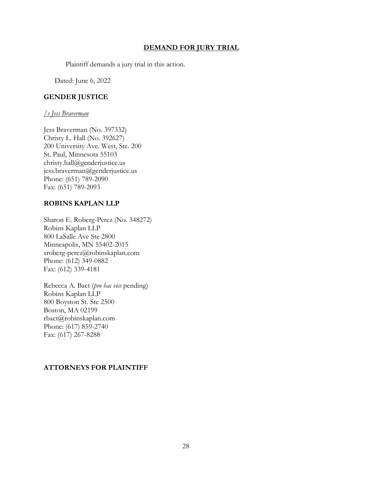## **DEMAND FOR JURY TRIAL**

Plaintiff demands a jury trial in this action.

Dated: June 6, 2022

# **GENDER JUSTICE**

## */s Jess Braverman*

Jess Braverman (No. 397332) Christy L. Hall (No. 392627) 200 University Ave. West, Ste. 200 St. Paul, Minnesota 55103 christy.hall@genderjustice.us jess.braverman@genderjustice.us Phone: (651) 789-2090 Fax: (651) 789-2093

# **ROBINS KAPLAN LLP**

Sharon E. Roberg-Perez (No. 348272) Robins Kaplan LLP 800 LaSalle Ave Ste 2800 Minneapolis, MN 55402-2015 sroberg-perez@robinskaplan.com Phone: (612) 349-0882 Fax: (612) 339-4181

Rebecca A. Bact (*pro hac vice* pending) Robins Kaplan LLP 800 Boyston St. Ste 2500 Boston, MA 02199 rbact@robinskaplan.com Phone: (617) 859-2740 Fax: (617) 267-8288

# **ATTORNEYS FOR PLAINTIFF**